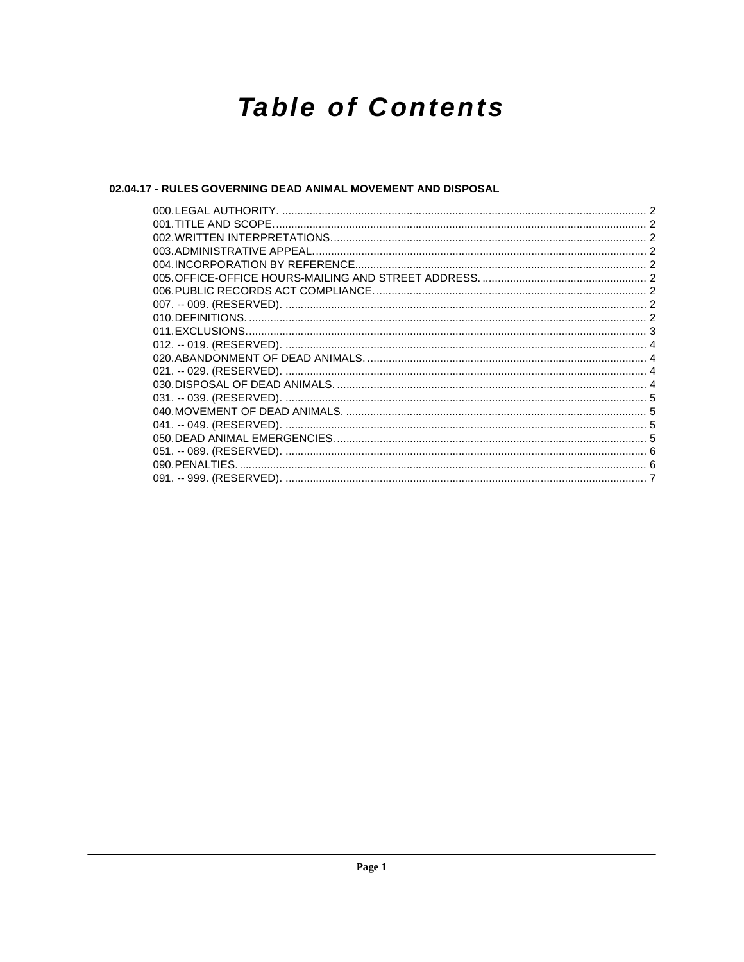# **Table of Contents**

## 02.04.17 - RULES GOVERNING DEAD ANIMAL MOVEMENT AND DISPOSAL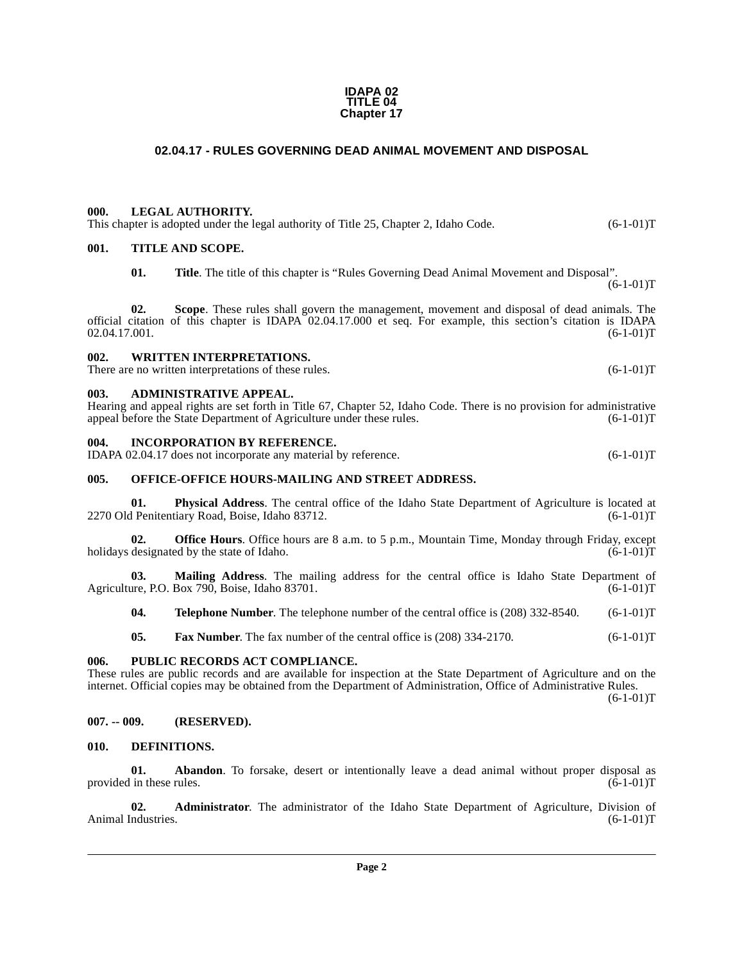#### **IDAPA 02 TITLE 04 Chapter 17**

### **02.04.17 - RULES GOVERNING DEAD ANIMAL MOVEMENT AND DISPOSAL**

#### <span id="page-1-1"></span><span id="page-1-0"></span>**000. LEGAL AUTHORITY.**

This chapter is adopted under the legal authority of Title 25, Chapter 2, Idaho Code.  $(6-1-01)$ T

#### <span id="page-1-2"></span>**001. TITLE AND SCOPE.**

**01. Title**. The title of this chapter is "Rules Governing Dead Animal Movement and Disposal".

**02. Scope**. These rules shall govern the management, movement and disposal of dead animals. The official citation of this chapter is IDAPA  $02.04.17.000$  et seq. For example, this section's citation is IDAPA  $02.04.17.001$ .  $(6-1-01)T$ 02.04.17.001.

### <span id="page-1-3"></span>**002. WRITTEN INTERPRETATIONS.**

There are no written interpretations of these rules. (6-1-01)T

#### <span id="page-1-4"></span>**003. ADMINISTRATIVE APPEAL.**

Hearing and appeal rights are set forth in Title 67, Chapter 52, Idaho Code. There is no provision for administrative appeal before the State Department of Agriculture under these rules.  $(6-1-01)$ T appeal before the State Department of Agriculture under these rules.

#### <span id="page-1-5"></span>**004. INCORPORATION BY REFERENCE.**

IDAPA 02.04.17 does not incorporate any material by reference. (6-1-01)T

#### <span id="page-1-6"></span>**005. OFFICE-OFFICE HOURS-MAILING AND STREET ADDRESS.**

**01. Physical Address**. The central office of the Idaho State Department of Agriculture is located at 1 Penitentiary Road, Boise, Idaho 83712. 2270 Old Penitentiary Road, Boise, Idaho 83712.

**02. Office Hours**. Office hours are 8 a.m. to 5 p.m., Mountain Time, Monday through Friday, except holidays designated by the state of Idaho. (6-1-01)T

**03. Mailing Address**. The mailing address for the central office is Idaho State Department of Agriculture, P.O. Box 790, Boise, Idaho 83701. (6-1-01)T

**04. Telephone Number**. The telephone number of the central office is (208) 332-8540. (6-1-01)T

**05. Fax Number**. The fax number of the central office is (208) 334-2170. (6-1-01)T

#### <span id="page-1-7"></span>**006. PUBLIC RECORDS ACT COMPLIANCE.**

These rules are public records and are available for inspection at the State Department of Agriculture and on the internet. Official copies may be obtained from the Department of Administration, Office of Administrative Rules.  $(6-1-01)T$ 

#### <span id="page-1-8"></span>**007. -- 009. (RESERVED).**

#### <span id="page-1-10"></span><span id="page-1-9"></span>**010. DEFINITIONS.**

**01. Abandon**. To forsake, desert or intentionally leave a dead animal without proper disposal as in these rules.  $(6-1-01)T$ provided in these rules.

**02.** Administrator. The administrator of the Idaho State Department of Agriculture, Division of industries. (6-1-01)T Animal Industries.

 $(6-1-01)T$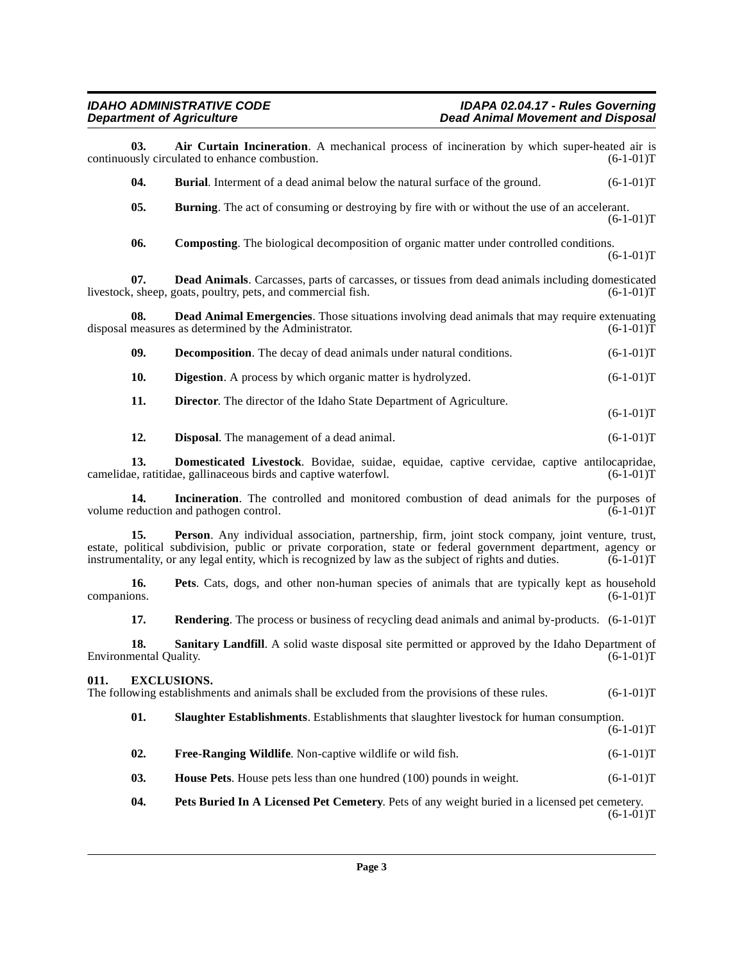<span id="page-2-9"></span><span id="page-2-8"></span><span id="page-2-7"></span><span id="page-2-6"></span><span id="page-2-5"></span><span id="page-2-4"></span><span id="page-2-3"></span><span id="page-2-2"></span><span id="page-2-1"></span><span id="page-2-0"></span>

| 03.                                                                                                                                                                                                                                                                                                                                                 | Air Curtain Incineration. A mechanical process of incineration by which super-heated air is<br>continuously circulated to enhance combustion.                    | $(6-1-01)T$ |  |  |
|-----------------------------------------------------------------------------------------------------------------------------------------------------------------------------------------------------------------------------------------------------------------------------------------------------------------------------------------------------|------------------------------------------------------------------------------------------------------------------------------------------------------------------|-------------|--|--|
| 04.                                                                                                                                                                                                                                                                                                                                                 | <b>Burial.</b> Interment of a dead animal below the natural surface of the ground.                                                                               | $(6-1-01)T$ |  |  |
| 05.                                                                                                                                                                                                                                                                                                                                                 | <b>Burning</b> . The act of consuming or destroying by fire with or without the use of an accelerant.                                                            | $(6-1-01)T$ |  |  |
| 06.                                                                                                                                                                                                                                                                                                                                                 | <b>Composting.</b> The biological decomposition of organic matter under controlled conditions.                                                                   | $(6-1-01)T$ |  |  |
| 07.                                                                                                                                                                                                                                                                                                                                                 | Dead Animals. Carcasses, parts of carcasses, or tissues from dead animals including domesticated<br>livestock, sheep, goats, poultry, pets, and commercial fish. | $(6-1-01)T$ |  |  |
| 08.                                                                                                                                                                                                                                                                                                                                                 | <b>Dead Animal Emergencies</b> . Those situations involving dead animals that may require extenuating<br>disposal measures as determined by the Administrator.   | $(6-1-01)T$ |  |  |
| 09.                                                                                                                                                                                                                                                                                                                                                 | <b>Decomposition</b> . The decay of dead animals under natural conditions.                                                                                       | $(6-1-01)T$ |  |  |
| 10.                                                                                                                                                                                                                                                                                                                                                 | <b>Digestion</b> . A process by which organic matter is hydrolyzed.                                                                                              | $(6-1-01)T$ |  |  |
| 11.                                                                                                                                                                                                                                                                                                                                                 | Director. The director of the Idaho State Department of Agriculture.                                                                                             | $(6-1-01)T$ |  |  |
| 12.                                                                                                                                                                                                                                                                                                                                                 | <b>Disposal.</b> The management of a dead animal.                                                                                                                | $(6-1-01)T$ |  |  |
| 13.                                                                                                                                                                                                                                                                                                                                                 | Domesticated Livestock. Bovidae, suidae, equidae, captive cervidae, captive antilocapridae,<br>camelidae, ratitidae, gallinaceous birds and captive waterfowl.   | $(6-1-01)T$ |  |  |
| 14.                                                                                                                                                                                                                                                                                                                                                 | Incineration. The controlled and monitored combustion of dead animals for the purposes of<br>volume reduction and pathogen control.                              | $(6-1-01)T$ |  |  |
| 15.<br>Person. Any individual association, partnership, firm, joint stock company, joint venture, trust,<br>estate, political subdivision, public or private corporation, state or federal government department, agency or<br>instrumentality, or any legal entity, which is recognized by law as the subject of rights and duties.<br>$(6-1-01)T$ |                                                                                                                                                                  |             |  |  |
| 16.<br>companions.                                                                                                                                                                                                                                                                                                                                  | Pets. Cats, dogs, and other non-human species of animals that are typically kept as household                                                                    | $(6-1-01)T$ |  |  |
| 17.                                                                                                                                                                                                                                                                                                                                                 | <b>Rendering.</b> The process or business of recycling dead animals and animal by-products. (6-1-01)T                                                            |             |  |  |
| 18.<br>Environmental Quality.                                                                                                                                                                                                                                                                                                                       | Sanitary Landfill. A solid waste disposal site permitted or approved by the Idaho Department of                                                                  | $(6-1-01)T$ |  |  |
| 011.<br><b>EXCLUSIONS.</b><br>The following establishments and animals shall be excluded from the provisions of these rules.<br>$(6-1-01)T$                                                                                                                                                                                                         |                                                                                                                                                                  |             |  |  |
| 01.                                                                                                                                                                                                                                                                                                                                                 | Slaughter Establishments. Establishments that slaughter livestock for human consumption.                                                                         | $(6-1-01)T$ |  |  |
| 02.                                                                                                                                                                                                                                                                                                                                                 | Free-Ranging Wildlife. Non-captive wildlife or wild fish.                                                                                                        | $(6-1-01)T$ |  |  |
| 03.                                                                                                                                                                                                                                                                                                                                                 | House Pets. House pets less than one hundred (100) pounds in weight.                                                                                             | $(6-1-01)T$ |  |  |
| 04.                                                                                                                                                                                                                                                                                                                                                 | Pets Buried In A Licensed Pet Cemetery. Pets of any weight buried in a licensed pet cemetery.                                                                    | $(6-1-01)T$ |  |  |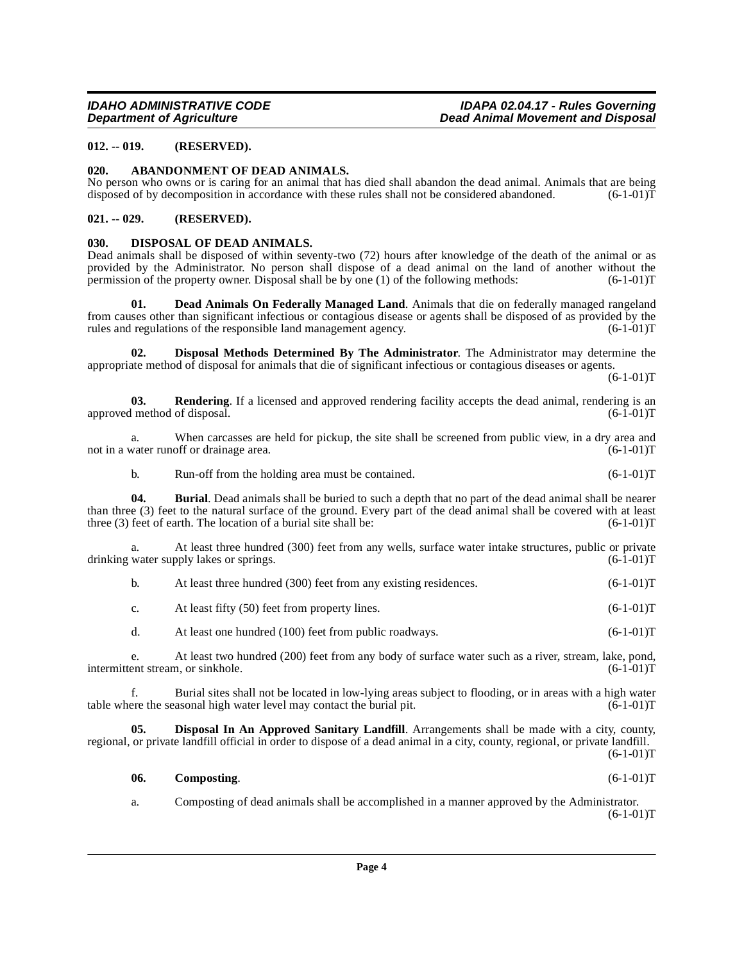### <span id="page-3-0"></span>**012. -- 019. (RESERVED).**

#### <span id="page-3-4"></span><span id="page-3-1"></span>**020. ABANDONMENT OF DEAD ANIMALS.**

No person who owns or is caring for an animal that has died shall abandon the dead animal. Animals that are being disposed of by decomposition in accordance with these rules shall not be considered abandoned.  $(6-1-01)\bar{T}$ 

#### <span id="page-3-2"></span>**021. -- 029. (RESERVED).**

#### <span id="page-3-10"></span><span id="page-3-3"></span>**030. DISPOSAL OF DEAD ANIMALS.**

Dead animals shall be disposed of within seventy-two (72) hours after knowledge of the death of the animal or as provided by the Administrator. No person shall dispose of a dead animal on the land of another without the permission of the property owner. Disposal shall be by one (1) of the following methods: (6-1-01)T permission of the property owner. Disposal shall be by one  $(1)$  of the following methods:

<span id="page-3-7"></span>**01. Dead Animals On Federally Managed Land**. Animals that die on federally managed rangeland from causes other than significant infectious or contagious disease or agents shall be disposed of as provided by the rules and regulations of the responsible land management agency.  $(6-1-01)T$ rules and regulations of the responsible land management agency.

<span id="page-3-9"></span>**02. Disposal Methods Determined By The Administrator**. The Administrator may determine the appropriate method of disposal for animals that die of significant infectious or contagious diseases or agents.

 $(6-1-01)T$ 

<span id="page-3-11"></span>**03. Rendering**. If a licensed and approved rendering facility accepts the dead animal, rendering is an imethod of disposal.  $(6-1-01)T$ approved method of disposal.

a. When carcasses are held for pickup, the site shall be screened from public view, in a dry area and water runoff or drainage area. (6-1-01) not in a water runoff or drainage area.

<span id="page-3-5"></span>b. Run-off from the holding area must be contained. (6-1-01)T

**04. Burial**. Dead animals shall be buried to such a depth that no part of the dead animal shall be nearer than three (3) feet to the natural surface of the ground. Every part of the dead animal shall be covered with at least three (3) feet of earth. The location of a burial site shall be:  $(6-1-01)$ three  $(3)$  feet of earth. The location of a burial site shall be:

a. At least three hundred (300) feet from any wells, surface water intake structures, public or private water supply lakes or springs.  $(6-1-01)$ T drinking water supply lakes or springs.

|  | At least three hundred (300) feet from any existing residences. | $(6-1-01)T$ |
|--|-----------------------------------------------------------------|-------------|
|--|-----------------------------------------------------------------|-------------|

c. At least fifty (50) feet from property lines. (6-1-01)T

d. At least one hundred (100) feet from public roadways. (6-1-01)T

e. At least two hundred (200) feet from any body of surface water such as a river, stream, lake, pond, ent stream, or sinkhole. (6-1-01)T intermittent stream, or sinkhole.

f. Burial sites shall not be located in low-lying areas subject to flooding, or in areas with a high water table where the seasonal high water level may contact the burial pit.  $(6-1-01)T$ 

**05. Disposal In An Approved Sanitary Landfill**. Arrangements shall be made with a city, county, regional, or private landfill official in order to dispose of a dead animal in a city, county, regional, or private landfill.

 $(6-1-01)T$ 

<span id="page-3-8"></span><span id="page-3-6"></span>**06. Composting**. (6-1-01)T

a. Composting of dead animals shall be accomplished in a manner approved by the Administrator.  $(6-1-01)T$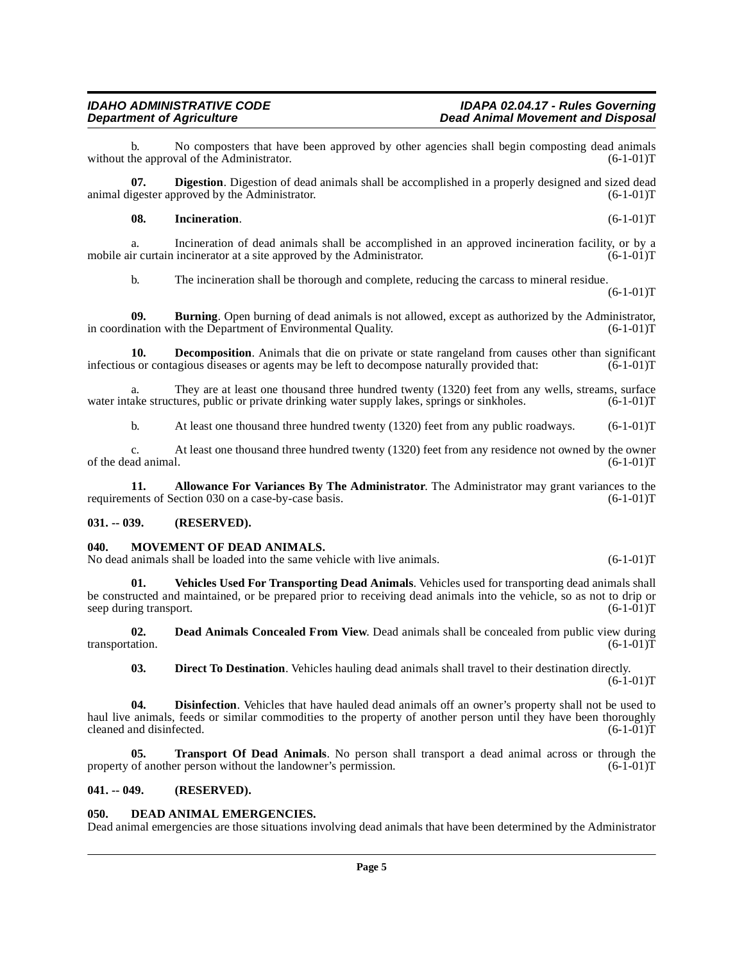b. No composters that have been approved by other agencies shall begin composting dead animals he approval of the Administrator.  $(6-1-01)T$ without the approval of the Administrator.

**07. Digestion**. Digestion of dead animals shall be accomplished in a properly designed and sized dead animal digester approved by the Administrator. (6-1-01)T

#### <span id="page-4-9"></span>**08. Incineration**. (6-1-01)T

a. Incineration of dead animals shall be accomplished in an approved incineration facility, or by a mobile air curtain incinerator at a site approved by the Administrator. (6-1-01)T

<span id="page-4-7"></span><span id="page-4-4"></span>b. The incineration shall be thorough and complete, reducing the carcass to mineral residue.

 $(6-1-01)T$ 

**09. Burning**. Open burning of dead animals is not allowed, except as authorized by the Administrator, nation with the Department of Environmental Quality.  $(6-1-01)T$ in coordination with the Department of Environmental Quality.

**10. Decomposition**. Animals that die on private or state rangeland from causes other than significant infectious or contagious diseases or agents may be left to decompose naturally provided that: (6-1-01)T

a. They are at least one thousand three hundred twenty (1320) feet from any wells, streams, surface ake structures, public or private drinking water supply lakes, springs or sinkholes.  $(6-1-01)$ T water intake structures, public or private drinking water supply lakes, springs or sinkholes.

b. At least one thousand three hundred twenty (1320) feet from any public roadways. (6-1-01)T

c. At least one thousand three hundred twenty (1320) feet from any residence not owned by the owner ad animal.  $(6-1-01)T$ of the dead animal.

**11.** Allowance For Variances By The Administrator. The Administrator may grant variances to the ents of Section 030 on a case-by-case basis. (6-1-01) requirements of Section 030 on a case-by-case basis.

#### <span id="page-4-0"></span>**031. -- 039. (RESERVED).**

#### <span id="page-4-10"></span><span id="page-4-1"></span>**040. MOVEMENT OF DEAD ANIMALS.**

No dead animals shall be loaded into the same vehicle with live animals. (6-1-01)T

<span id="page-4-12"></span>**01. Vehicles Used For Transporting Dead Animals**. Vehicles used for transporting dead animals shall be constructed and maintained, or be prepared prior to receiving dead animals into the vehicle, so as not to drip or seep during transport.  $(6-1-01)T$ seep during transport.

**02. Dead Animals Concealed From View**. Dead animals shall be concealed from public view during ation. (6-1-01) transportation.

<span id="page-4-11"></span><span id="page-4-8"></span><span id="page-4-6"></span>**03. Direct To Destination**. Vehicles hauling dead animals shall travel to their destination directly.  $(6-1-01)T$ 

**04. Disinfection**. Vehicles that have hauled dead animals off an owner's property shall not be used to haul live animals, feeds or similar commodities to the property of another person until they have been thoroughly cleaned and disinfected. (6-1-01)T cleaned and disinfected.

**05. Transport Of Dead Animals**. No person shall transport a dead animal across or through the property of another person without the landowner's permission. (6-1-01)T

#### <span id="page-4-2"></span>**041. -- 049. (RESERVED).**

#### <span id="page-4-5"></span><span id="page-4-3"></span>**050. DEAD ANIMAL EMERGENCIES.**

Dead animal emergencies are those situations involving dead animals that have been determined by the Administrator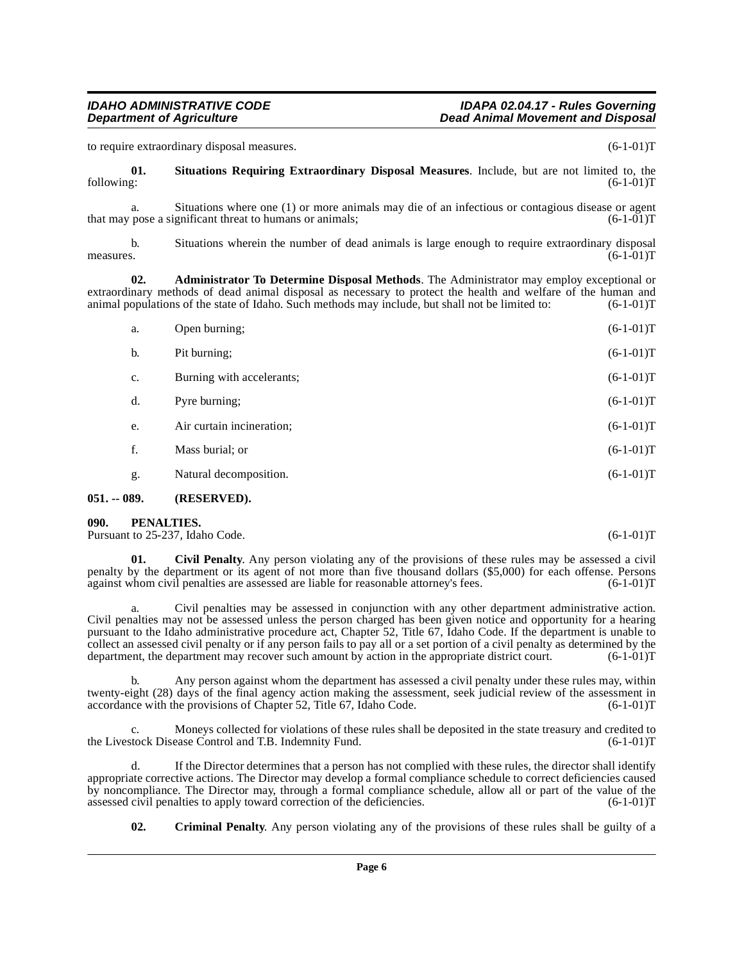#### **IDAHO ADMINISTRATIVE CODE IDAPA 02.04.17 - Rules Governing Dead Animal Movement and Disposal**

to require extraordinary disposal measures. (6-1-01)T

<span id="page-5-5"></span>**01.** Situations Requiring Extraordinary Disposal Measures. Include, but are not limited to, the following:  $(6-1-01)T$ following: (6-1-01)T

a. Situations where one (1) or more animals may die of an infectious or contagious disease or agent pose a significant threat to humans or animals; (6-1-01) that may pose a significant threat to humans or animals;

b. Situations wherein the number of dead animals is large enough to require extraordinary disposal measures.  $(6-1-01)T$ 

**02. Administrator To Determine Disposal Methods**. The Administrator may employ exceptional or extraordinary methods of dead animal disposal as necessary to protect the health and welfare of the human and animal populations of the state of Idaho. Such methods may include, but shall not be limited to: (6-1-01)T

| AQ A | 'DFCFDVFD)                |             |
|------|---------------------------|-------------|
| g.   | Natural decomposition.    | $(6-1-01)T$ |
| f.   | Mass burial; or           | $(6-1-01)T$ |
| e.   | Air curtain incineration; | $(6-1-01)T$ |
| d.   | Pyre burning;             | $(6-1-01)T$ |
| c.   | Burning with accelerants; | $(6-1-01)T$ |
| b.   | Pit burning;              | $(6-1-01)T$ |
| a.   | Open burning;             | $(6-1-01)T$ |

## <span id="page-5-0"></span>**051. -- 089. (RESERVED).**

<span id="page-5-4"></span><span id="page-5-1"></span>**090. PENALTIES.** 

Pursuant to 25-237, Idaho Code. (6-1-01)T

<span id="page-5-2"></span>**01. Civil Penalty**. Any person violating any of the provisions of these rules may be assessed a civil penalty by the department or its agent of not more than five thousand dollars (\$5,000) for each offense. Persons against whom civil penalties are assessed are liable for reasonable attorney's fees. (6-1-01) against whom civil penalties are assessed are liable for reasonable attorney's fees.

a. Civil penalties may be assessed in conjunction with any other department administrative action. Civil penalties may not be assessed unless the person charged has been given notice and opportunity for a hearing pursuant to the Idaho administrative procedure act, Chapter 52, Title 67, Idaho Code. If the department is unable to collect an assessed civil penalty or if any person fails to pay all or a set portion of a civil penalty as determined by the department, the department may recover such amount by action in the appropriate district court. (6-1-01)T

b. Any person against whom the department has assessed a civil penalty under these rules may, within twenty-eight (28) days of the final agency action making the assessment, seek judicial review of the assessment in accordance with the provisions of Chapter 52, Title 67, Idaho Code. (6-1-01)T

c. Moneys collected for violations of these rules shall be deposited in the state treasury and credited to stock Disease Control and T.B. Indemnity Fund. (6-1-01) the Livestock Disease Control and T.B. Indemnity Fund.

If the Director determines that a person has not complied with these rules, the director shall identify appropriate corrective actions. The Director may develop a formal compliance schedule to correct deficiencies caused by noncompliance. The Director may, through a formal compliance schedule, allow all or part of the value of the assessed civil penalties to apply toward correction of the deficiencies.  $(6-1-01)$ assessed civil penalties to apply toward correction of the deficiencies.

<span id="page-5-3"></span>**02. Criminal Penalty**. Any person violating any of the provisions of these rules shall be guilty of a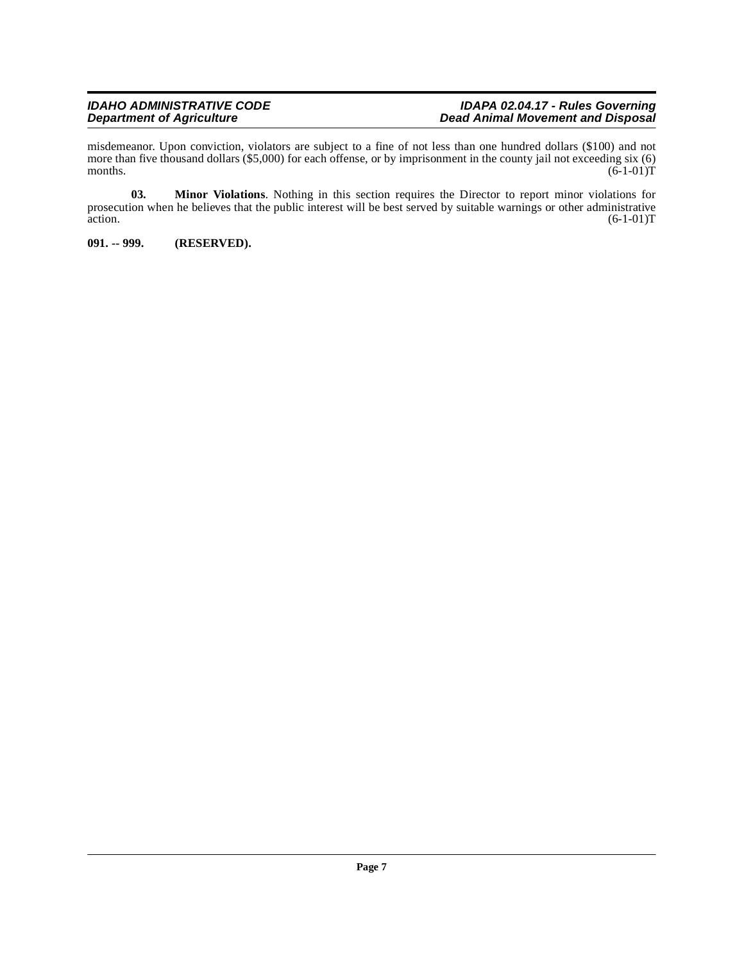#### **IDAHO ADMINISTRATIVE CODE IDAPA 02.04.17 - Rules Governing Department of Agriculture Dead Animal Movement and Disposal**

misdemeanor. Upon conviction, violators are subject to a fine of not less than one hundred dollars (\$100) and not more than five thousand dollars (\$5,000) for each offense, or by imprisonment in the county jail not exceeding six (6) months.  $(6-1-01)T$ months.  $(6-1-01)T$ 

**03. Minor Violations**. Nothing in this section requires the Director to report minor violations for prosecution when he believes that the public interest will be best served by suitable warnings or other administrative action.  $(6-1-01)T$ action.  $(6-1-01)T$ 

<span id="page-6-0"></span>**091. -- 999. (RESERVED).**